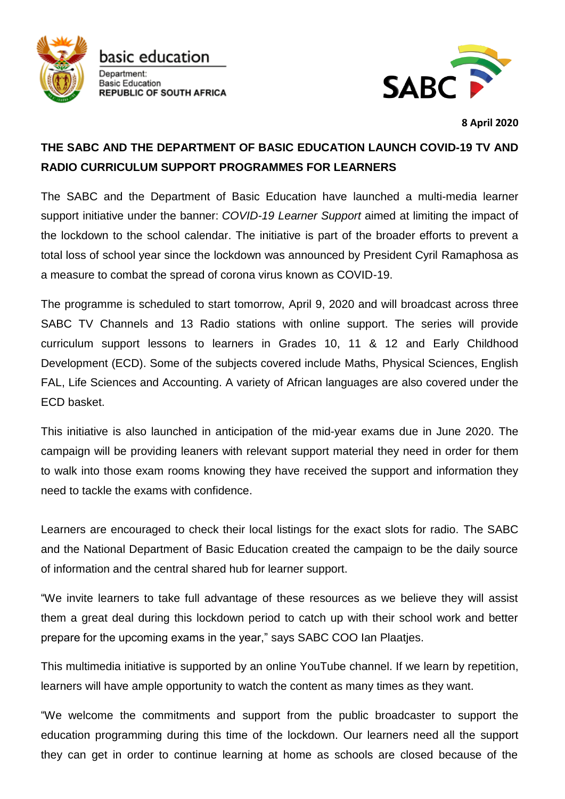

basic education Department: **Basic Education REPUBLIC OF SOUTH AFRICA** 



**8 April 2020**

## **THE SABC AND THE DEPARTMENT OF BASIC EDUCATION LAUNCH COVID-19 TV AND RADIO CURRICULUM SUPPORT PROGRAMMES FOR LEARNERS**

The SABC and the Department of Basic Education have launched a multi-media learner support initiative under the banner: *COVID-19 Learner Support* aimed at limiting the impact of the lockdown to the school calendar. The initiative is part of the broader efforts to prevent a total loss of school year since the lockdown was announced by President Cyril Ramaphosa as a measure to combat the spread of corona virus known as COVID-19.

The programme is scheduled to start tomorrow, April 9, 2020 and will broadcast across three SABC TV Channels and 13 Radio stations with online support. The series will provide curriculum support lessons to learners in Grades 10, 11 & 12 and Early Childhood Development (ECD). Some of the subjects covered include Maths, Physical Sciences, English FAL, Life Sciences and Accounting. A variety of African languages are also covered under the ECD basket.

This initiative is also launched in anticipation of the mid-year exams due in June 2020. The campaign will be providing leaners with relevant support material they need in order for them to walk into those exam rooms knowing they have received the support and information they need to tackle the exams with confidence.

Learners are encouraged to check their local listings for the exact slots for radio. The SABC and the National Department of Basic Education created the campaign to be the daily source of information and the central shared hub for learner support.

"We invite learners to take full advantage of these resources as we believe they will assist them a great deal during this lockdown period to catch up with their school work and better prepare for the upcoming exams in the year," says SABC COO Ian Plaatjes.

This multimedia initiative is supported by an online YouTube channel. If we learn by repetition, learners will have ample opportunity to watch the content as many times as they want.

"We welcome the commitments and support from the public broadcaster to support the education programming during this time of the lockdown. Our learners need all the support they can get in order to continue learning at home as schools are closed because of the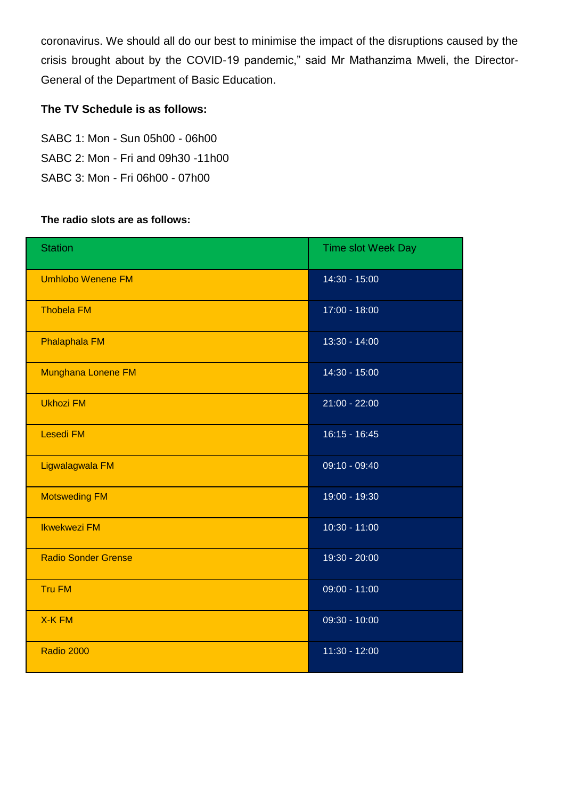coronavirus. We should all do our best to minimise the impact of the disruptions caused by the crisis brought about by the COVID-19 pandemic," said Mr Mathanzima Mweli, the Director-General of the Department of Basic Education.

## **The TV Schedule is as follows:**

- SABC 1: Mon Sun 05h00 06h00 SABC 2: Mon - Fri and 09h30 -11h00
- SABC 3: Mon Fri 06h00 07h00

## **The radio slots are as follows:**

| <b>Station</b>             | Time slot Week Day |
|----------------------------|--------------------|
| <b>Umhlobo Wenene FM</b>   | 14:30 - 15:00      |
| <b>Thobela FM</b>          | 17:00 - 18:00      |
| <b>Phalaphala FM</b>       | 13:30 - 14:00      |
| Munghana Lonene FM         | 14:30 - 15:00      |
| <b>Ukhozi FM</b>           | 21:00 - 22:00      |
| <b>Lesedi FM</b>           | $16:15 - 16:45$    |
| Ligwalagwala FM            | 09:10 - 09:40      |
| <b>Motsweding FM</b>       | 19:00 - 19:30      |
| <b>Ikwekwezi FM</b>        | 10:30 - 11:00      |
| <b>Radio Sonder Grense</b> | $19:30 - 20:00$    |
| <b>Tru FM</b>              | $09:00 - 11:00$    |
| <b>X-KFM</b>               | 09:30 - 10:00      |
| <b>Radio 2000</b>          | 11:30 - 12:00      |